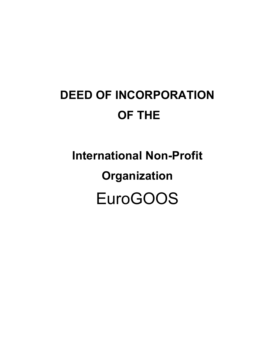## **DEED OF INCORPORATION OF THE**

# **International Non-Profit Organization** EuroGOOS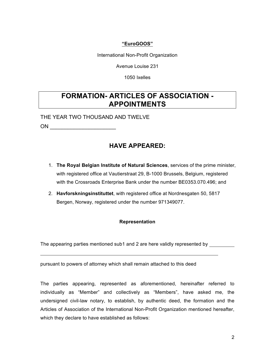#### **"EuroGOOS"**

International Non-Profit Organization

Avenue Louise 231

1050 Ixelles

## **FORMATION- ARTICLES OF ASSOCIATION - APPOINTMENTS**

THE YEAR TWO THOUSAND AND TWELVE

ON \_\_\_\_\_\_\_\_\_\_\_\_\_\_\_\_\_\_\_\_\_\_

## **HAVE APPEARED:**

- 1. **The Royal Belgian Institute of Natural Sciences**, services of the prime minister, with registered office at Vautierstraat 29, B-1000 Brussels, Belgium, registered with the Crossroads Enterprise Bank under the number BE0353.070.496; and
- 2. **Havforskningsinstituttet**, with registered office at Nordnesgaten 50, 5817 Bergen, Norway, registered under the number 971349077.

#### **Representation**

The appearing parties mentioned sub1 and 2 are here validly represented by

pursuant to powers of attorney which shall remain attached to this deed

The parties appearing, represented as aforementioned, hereinafter referred to individually as "Member" and collectively as "Members", have asked me, the undersigned civil-law notary, to establish, by authentic deed, the formation and the Articles of Association of the International Non-Profit Organization mentioned hereafter, which they declare to have established as follows: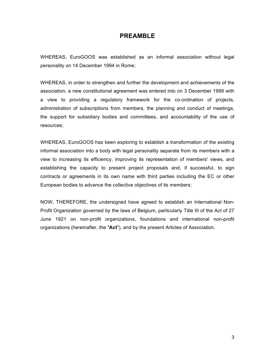#### **PREAMBLE**

WHEREAS, EuroGOOS was established as an informal association without legal personality on 14 December 1994 in Rome;

WHEREAS, in order to strengthen and further the development and achievements of the association, a new constitutional agreement was entered into on 3 December 1999 with a view to providing a regulatory framework for the co-ordination of projects, administration of subscriptions from members, the planning and conduct of meetings, the support for subsidiary bodies and committees, and accountability of the use of resources;

WHEREAS, EuroGOOS has been exploring to establish a transformation of the existing informal association into a body with legal personality separate from its members with a view to increasing its efficiency, improving its representation of members' views, and establishing the capacity to present project proposals and, if successful, to sign contracts or agreements in its own name with third parties including the EC or other European bodies to advance the collective objectives of its members;

NOW, THEREFORE, the undersigned have agreed to establish an International Non-Profit Organization governed by the laws of Belgium, particularly Title III of the Act of 27 June 1921 on non-profit organizations, foundations and international non-profit organizations (hereinafter, the "**Act**"), and by the present Articles of Association.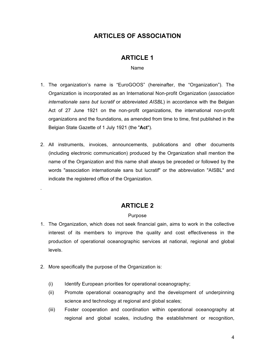## **ARTICLES OF ASSOCIATION**

#### **ARTICLE 1**

Name

- 1. The organization's name is "EuroGOOS" (hereinafter, the "Organization"). The Organization is incorporated as an International Non-profit Organization (*association internationale sans but lucratif* or abbreviated *AISBL*) in accordance with the Belgian Act of 27 June 1921 on the non-profit organizations, the international non-profit organizations and the foundations, as amended from time to time, first published in the Belgian State Gazette of 1 July 1921 (the "**Act**").
- 2. All instruments, invoices, announcements, publications and other documents (including electronic communication) produced by the Organization shall mention the name of the Organization and this name shall always be preceded or followed by the words "association internationale sans but lucratif" or the abbreviation "AISBL" and indicate the registered office of the Organization.

## **ARTICLE 2**

#### Purpose

- 1. The Organization, which does not seek financial gain, aims to work in the collective interest of its members to improve the quality and cost effectiveness in the production of operational oceanographic services at national, regional and global levels.
- 2. More specifically the purpose of the Organization is:

.

- (i) Identify European priorities for operational oceanography;
- (ii) Promote operational oceanography and the development of underpinning science and technology at regional and global scales;
- (iii) Foster cooperation and coordination within operational oceanography at regional and global scales, including the establishment or recognition,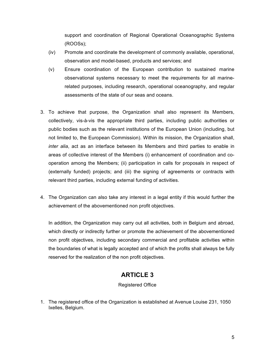support and coordination of Regional Operational Oceanographic Systems (ROOSs);

- (iv) Promote and coordinate the development of commonly available, operational, observation and model-based, products and services; and
- (v) Ensure coordination of the European contribution to sustained marine observational systems necessary to meet the requirements for all marinerelated purposes, including research, operational oceanography, and regular assessments of the state of our seas and oceans.
- 3. To achieve that purpose, the Organization shall also represent its Members, collectively, vis-à-vis the appropriate third parties, including public authorities or public bodies such as the relevant institutions of the European Union (including, but not limited to, the European Commission). Within its mission, the Organization shall, *inter alia*, act as an interface between its Members and third parties to enable in areas of collective interest of the Members (i) enhancement of coordination and cooperation among the Members; (ii) participation in calls for proposals in respect of (externally funded) projects; and (iii) the signing of agreements or contracts with relevant third parties, including external funding of activities.
- 4. The Organization can also take any interest in a legal entity if this would further the achievement of the abovementioned non profit objectives.

In addition, the Organization may carry out all activities, both in Belgium and abroad, which directly or indirectly further or promote the achievement of the abovementioned non profit objectives, including secondary commercial and profitable activities within the boundaries of what is legally accepted and of which the profits shall always be fully reserved for the realization of the non profit objectives.

## **ARTICLE 3**

#### Registered Office

1. The registered office of the Organization is established at Avenue Louise 231, 1050 Ixelles, Belgium.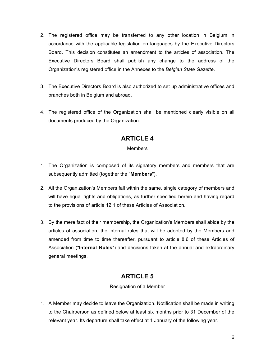- 2. The registered office may be transferred to any other location in Belgium in accordance with the applicable legislation on languages by the Executive Directors Board. This decision constitutes an amendment to the articles of association. The Executive Directors Board shall publish any change to the address of the Organization's registered office in the Annexes to the *Belgian State Gazette*.
- 3. The Executive Directors Board is also authorized to set up administrative offices and branches both in Belgium and abroad.
- 4. The registered office of the Organization shall be mentioned clearly visible on all documents produced by the Organization.

#### **Members**

- 1. The Organization is composed of its signatory members and members that are subsequently admitted (together the "**Members**").
- 2. All the Organization's Members fall within the same, single category of members and will have equal rights and obligations, as further specified herein and having regard to the provisions of article 12.1 of these Articles of Association.
- 3. By the mere fact of their membership, the Organization's Members shall abide by the articles of association, the internal rules that will be adopted by the Members and amended from time to time thereafter, pursuant to article 8.6 of these Articles of Association ("**Internal Rules**") and decisions taken at the annual and extraordinary general meetings.

## **ARTICLE 5**

#### Resignation of a Member

1. A Member may decide to leave the Organization. Notification shall be made in writing to the Chairperson as defined below at least six months prior to 31 December of the relevant year. Its departure shall take effect at 1 January of the following year.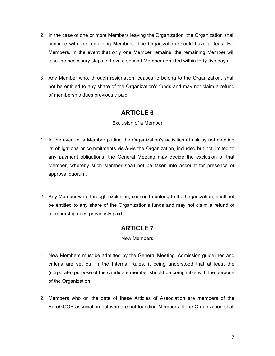- 2. In the case of one or more Members leaving the Organization, the Organization shall continue with the remaining Members. The Organization should have at least two Members. In the event that only one Member remains, the remaining Member will take the necessary steps to have a second Member admitted within forty-five days.
- 3. Any Member who, through resignation, ceases to belong to the Organization, shall not be entitled to any share of the Organization's funds and may not claim a refund of membership dues previously paid.

#### Exclusion of a Member

- 1. In the event of a Member putting the Organization's activities at risk by not meeting its obligations or commitments vis-à-vis the Organization, included but not limited to any payment obligations, the General Meeting may decide the exclusion of that Member, whereby such Member shall not be taken into account for presence or approval quorum.
- 2. Any Member who, through exclusion, ceases to belong to the Organization, shall not be entitled to any share of the Organization's funds and may not claim a refund of membership dues previously paid.

## **ARTICLE 7**

#### New Members

- 1. New Members must be admitted by the General Meeting. Admission guidelines and criteria are set out in the Internal Rules, it being understood that at least the (corporate) purpose of the candidate member should be compatible with the purpose of the Organization.
- 2. Members who on the date of these Articles of Association are members of the EuroGOOS association but who are not founding Members of the Organization shall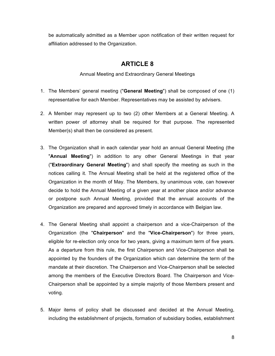be automatically admitted as a Member upon notification of their written request for affiliation addressed to the Organization.

## **ARTICLE 8**

Annual Meeting and Extraordinary General Meetings

- 1. The Members' general meeting ("**General Meeting**") shall be composed of one (1) representative for each Member. Representatives may be assisted by advisers.
- 2. A Member may represent up to two (2) other Members at a General Meeting. A written power of attorney shall be required for that purpose. The represented Member(s) shall then be considered as present.
- 3. The Organization shall in each calendar year hold an annual General Meeting (the "**Annual Meeting**") in addition to any other General Meetings in that year ("**Extraordinary General Meeting**") and shall specify the meeting as such in the notices calling it. The Annual Meeting shall be held at the registered office of the Organization in the month of May. The Members, by unanimous vote, can however decide to hold the Annual Meeting of a given year at another place and/or advance or postpone such Annual Meeting, provided that the annual accounts of the Organization are prepared and approved timely in accordance with Belgian law.
- 4. The General Meeting shall appoint a chairperson and a vice-Chairperson of the Organization (the "**Chairperson**" and the "**Vice-Chairperson**") for three years, eligible for re-election only once for two years, giving a maximum term of five years. As a departure from this rule, the first Chairperson and Vice-Chairperson shall be appointed by the founders of the Organization which can determine the term of the mandate at their discretion. The Chairperson and Vice-Chairperson shall be selected among the members of the Executive Directors Board. The Chairperson and Vice-Chairperson shall be appointed by a simple majority of those Members present and voting.
- 5. Major items of policy shall be discussed and decided at the Annual Meeting, including the establishment of projects, formation of subsidiary bodies, establishment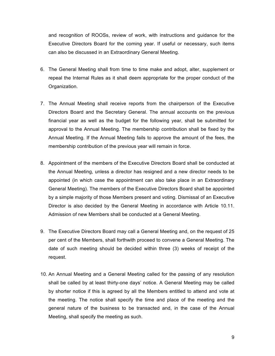and recognition of ROOSs, review of work, with instructions and guidance for the Executive Directors Board for the coming year. If useful or necessary, such items can also be discussed in an Extraordinary General Meeting.

- 6. The General Meeting shall from time to time make and adopt, alter, supplement or repeal the Internal Rules as it shall deem appropriate for the proper conduct of the Organization.
- 7. The Annual Meeting shall receive reports from the chairperson of the Executive Directors Board and the Secretary General. The annual accounts on the previous financial year as well as the budget for the following year, shall be submitted for approval to the Annual Meeting. The membership contribution shall be fixed by the Annual Meeting. If the Annual Meeting fails to approve the amount of the fees, the membership contribution of the previous year will remain in force.
- 8. Appointment of the members of the Executive Directors Board shall be conducted at the Annual Meeting, unless a director has resigned and a new director needs to be appointed (in which case the appointment can also take place in an Extraordinary General Meeting). The members of the Executive Directors Board shall be appointed by a simple majority of those Members present and voting. Dismissal of an Executive Director is also decided by the General Meeting in accordance with Article 10.11. Admission of new Members shall be conducted at a General Meeting.
- 9. The Executive Directors Board may call a General Meeting and, on the request of 25 per cent of the Members, shall forthwith proceed to convene a General Meeting. The date of such meeting should be decided within three (3) weeks of receipt of the request.
- 10. An Annual Meeting and a General Meeting called for the passing of any resolution shall be called by at least thirty-one days' notice. A General Meeting may be called by shorter notice if this is agreed by all the Members entitled to attend and vote at the meeting. The notice shall specify the time and place of the meeting and the general nature of the business to be transacted and, in the case of the Annual Meeting, shall specify the meeting as such.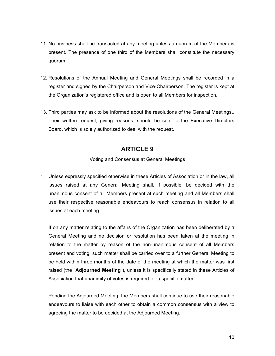- 11. No business shall be transacted at any meeting unless a quorum of the Members is present. The presence of one third of the Members shall constitute the necessary quorum.
- 12. Resolutions of the Annual Meeting and General Meetings shall be recorded in a register and signed by the Chairperson and Vice-Chairperson. The register is kept at the Organization's registered office and is open to all Members for inspection.
- 13. Third parties may ask to be informed about the resolutions of the General Meetings.. Their written request, giving reasons, should be sent to the Executive Directors Board, which is solely authorized to deal with the request.

Voting and Consensus at General Meetings

1. Unless expressly specified otherwise in these Articles of Association or in the law, all issues raised at any General Meeting shall, if possible, be decided with the unanimous consent of all Members present at such meeting and all Members shall use their respective reasonable endeavours to reach consensus in relation to all issues at each meeting.

If on any matter relating to the affairs of the Organization has been deliberated by a General Meeting and no decision or resolution has been taken at the meeting in relation to the matter by reason of the non-unanimous consent of all Members present and voting, such matter shall be carried over to a further General Meeting to be held within three months of the date of the meeting at which the matter was first raised (the "**Adjourned Meeting**"), unless it is specifically stated in these Articles of Association that unanimity of votes is required for a specific matter.

Pending the Adjourned Meeting, the Members shall continue to use their reasonable endeavours to liaise with each other to obtain a common consensus with a view to agreeing the matter to be decided at the Adjourned Meeting.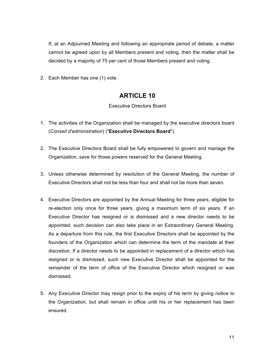If, at an Adjourned Meeting and following an appropriate period of debate, a matter cannot be agreed upon by all Members present and voting, then the matter shall be decided by a majority of 75 per cent of those Members present and voting.

2. Each Member has one (1) vote.

## **ARTICLE 10**

#### Executive Directors Board

- 1. The activities of the Organization shall be managed by the executive directors board (*Conseil d'administration*) ("**Executive Directors Board**").
- 2. The Executive Directors Board shall be fully empowered to govern and manage the Organization, save for those powers reserved for the General Meeting.
- 3. Unless otherwise determined by resolution of the General Meeting, the number of Executive Directors shall not be less than four and shall not be more than seven.
- 4. Executive Directors are appointed by the Annual Meeting for three years, eligible for re-election only once for three years, giving a maximum term of six years. If an Executive Director has resigned or is dismissed and a new director needs to be appointed, such decision can also take place in an Extraordinary General Meeting. As a departure from this rule, the first Executive Directors shall be appointed by the founders of the Organization which can determine the term of the mandate at their discretion. If a director needs to be appointed in replacement of a director which has resigned or is dismissed, such new Executive Director shall be appointed for the remainder of the term of office of the Executive Director which resigned or was dismissed.
- 5. Any Executive Director may resign prior to the expiry of his term by giving notice to the Organization, but shall remain in office until his or her replacement has been ensured.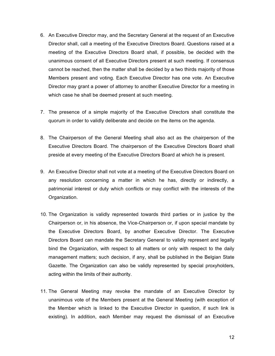- 6. An Executive Director may, and the Secretary General at the request of an Executive Director shall, call a meeting of the Executive Directors Board. Questions raised at a meeting of the Executive Directors Board shall, if possible, be decided with the unanimous consent of all Executive Directors present at such meeting. If consensus cannot be reached, then the matter shall be decided by a two thirds majority of those Members present and voting. Each Executive Director has one vote. An Executive Director may grant a power of attorney to another Executive Director for a meeting in which case he shall be deemed present at such meeting.
- 7. The presence of a simple majority of the Executive Directors shall constitute the quorum in order to validly deliberate and decide on the items on the agenda.
- 8. The Chairperson of the General Meeting shall also act as the chairperson of the Executive Directors Board. The chairperson of the Executive Directors Board shall preside at every meeting of the Executive Directors Board at which he is present.
- 9. An Executive Director shall not vote at a meeting of the Executive Directors Board on any resolution concerning a matter in which he has, directly or indirectly, a patrimonial interest or duty which conflicts or may conflict with the interests of the Organization.
- 10. The Organization is validly represented towards third parties or in justice by the Chairperson or, in his absence, the Vice-Chairperson or, if upon special mandate by the Executive Directors Board, by another Executive Director. The Executive Directors Board can mandate the Secretary General to validly represent and legally bind the Organization, with respect to all matters or only with respect to the daily management matters; such decision, if any, shall be published in the Belgian State Gazette. The Organization can also be validly represented by special proxyholders, acting within the limits of their authority.
- 11. The General Meeting may revoke the mandate of an Executive Director by unanimous vote of the Members present at the General Meeting (with exception of the Member which is linked to the Executive Director in question, if such link is existing). In addition, each Member may request the dismissal of an Executive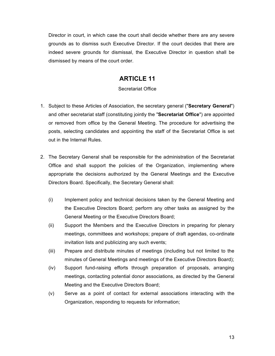Director in court, in which case the court shall decide whether there are any severe grounds as to dismiss such Executive Director. If the court decides that there are indeed severe grounds for dismissal, the Executive Director in question shall be dismissed by means of the court order.

## **ARTICLE 11**

#### Secretariat Office

- 1. Subject to these Articles of Association, the secretary general ("**Secretary General**") and other secretariat staff (constituting jointly the "**Secretariat Office**") are appointed or removed from office by the General Meeting. The procedure for advertising the posts, selecting candidates and appointing the staff of the Secretariat Office is set out in the Internal Rules.
- 2. The Secretary General shall be responsible for the administration of the Secretariat Office and shall support the policies of the Organization, implementing where appropriate the decisions authorized by the General Meetings and the Executive Directors Board. Specifically, the Secretary General shall:
	- (i) Implement policy and technical decisions taken by the General Meeting and the Executive Directors Board; perform any other tasks as assigned by the General Meeting or the Executive Directors Board;
	- (ii) Support the Members and the Executive Directors in preparing for plenary meetings, committees and workshops; prepare of draft agendas, co-ordinate invitation lists and publicizing any such events;
	- (iii) Prepare and distribute minutes of meetings (including but not limited to the minutes of General Meetings and meetings of the Executive Directors Board);
	- (iv) Support fund-raising efforts through preparation of proposals, arranging meetings, contacting potential donor associations, as directed by the General Meeting and the Executive Directors Board;
	- (v) Serve as a point of contact for external associations interacting with the Organization, responding to requests for information;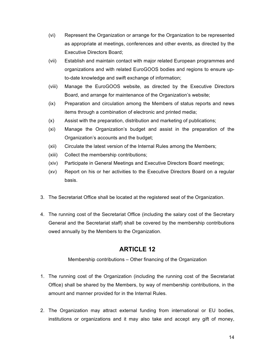- (vi) Represent the Organization or arrange for the Organization to be represented as appropriate at meetings, conferences and other events, as directed by the Executive Directors Board;
- (vii) Establish and maintain contact with major related European programmes and organizations and with related EuroGOOS bodies and regions to ensure upto-date knowledge and swift exchange of information;
- (viii) Manage the EuroGOOS website, as directed by the Executive Directors Board, and arrange for maintenance of the Organization's website;
- (ix) Preparation and circulation among the Members of status reports and news items through a combination of electronic and printed media;
- (x) Assist with the preparation, distribution and marketing of publications;
- (xi) Manage the Organization's budget and assist in the preparation of the Organization's accounts and the budget;
- (xii) Circulate the latest version of the Internal Rules among the Members;
- (xiii) Collect the membership contributions;
- (xiv) Participate in General Meetings and Executive Directors Board meetings;
- (xv) Report on his or her activities to the Executive Directors Board on a regular basis.
- 3. The Secretariat Office shall be located at the registered seat of the Organization.
- 4. The running cost of the Secretariat Office (including the salary cost of the Secretary General and the Secretariat staff) shall be covered by the membership contributions owed annually by the Members to the Organization.

Membership contributions – Other financing of the Organization

- 1. The running cost of the Organization (including the running cost of the Secretariat Office) shall be shared by the Members, by way of membership contributions, in the amount and manner provided for in the Internal Rules.
- 2. The Organization may attract external funding from international or EU bodies, institutions or organizations and it may also take and accept any gift of money,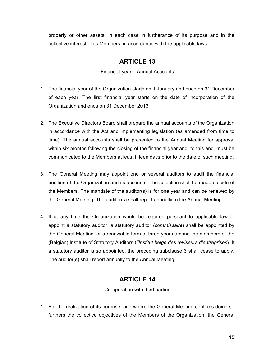property or other assets, in each case in furtherance of its purpose and in the collective interest of its Members, in accordance with the applicable laws.

## **ARTICLE 13**

Financial year – Annual Accounts

- 1. The financial year of the Organization starts on 1 January and ends on 31 December of each year. The first financial year starts on the date of incorporation of the Organization and ends on 31 December 2013.
- 2. The Executive Directors Board shall prepare the annual accounts of the Organization in accordance with the Act and implementing legislation (as amended from time to time). The annual accounts shall be presented to the Annual Meeting for approval within six months following the closing of the financial year and, to this end, must be communicated to the Members at least fifteen days prior to the date of such meeting.
- 3. The General Meeting may appoint one or several auditors to audit the financial position of the Organization and its accounts. The selection shall be made outside of the Members. The mandate of the auditor(s) is for one year and can be renewed by the General Meeting. The auditor(s) shall report annually to the Annual Meeting.
- 4. If at any time the Organization would be required pursuant to applicable law to appoint a statutory auditor, a statutory auditor (*commissaire*) shall be appointed by the General Meeting for a renewable term of three years among the members of the (Belgian) Institute of Statutory Auditors (*l'Institut belge des réviseurs d'entreprises*). If a statutory auditor is so appointed, the preceding subclause 3 shall cease to apply. The auditor(s) shall report annually to the Annual Meeting.

## **ARTICLE 14**

Co-operation with third parties

1. For the realization of its purpose, and where the General Meeting confirms doing so furthers the collective objectives of the Members of the Organization, the General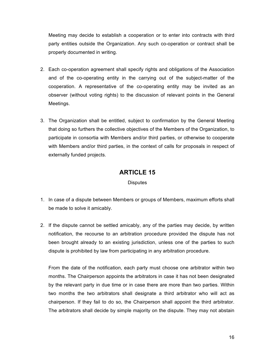Meeting may decide to establish a cooperation or to enter into contracts with third party entities outside the Organization. Any such co-operation or contract shall be properly documented in writing.

- 2. Each co-operation agreement shall specify rights and obligations of the Association and of the co-operating entity in the carrying out of the subject-matter of the cooperation. A representative of the co-operating entity may be invited as an observer (without voting rights) to the discussion of relevant points in the General Meetings.
- 3. The Organization shall be entitled, subject to confirmation by the General Meeting that doing so furthers the collective objectives of the Members of the Organization, to participate in consortia with Members and/or third parties, or otherwise to cooperate with Members and/or third parties, in the context of calls for proposals in respect of externally funded projects.

## **ARTICLE 15**

**Disputes** 

- 1. In case of a dispute between Members or groups of Members, maximum efforts shall be made to solve it amicably.
- 2. If the dispute cannot be settled amicably, any of the parties may decide, by written notification, the recourse to an arbitration procedure provided the dispute has not been brought already to an existing jurisdiction, unless one of the parties to such dispute is prohibited by law from participating in any arbitration procedure.

From the date of the notification, each party must choose one arbitrator within two months. The Chairperson appoints the arbitrators in case it has not been designated by the relevant party in due time or in case there are more than two parties. Within two months the two arbitrators shall designate a third arbitrator who will act as chairperson. If they fail to do so, the Chairperson shall appoint the third arbitrator. The arbitrators shall decide by simple majority on the dispute. They may not abstain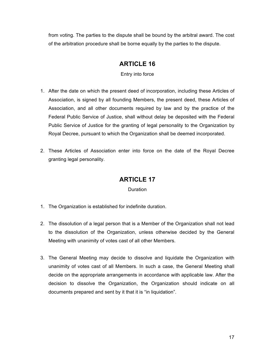from voting. The parties to the dispute shall be bound by the arbitral award. The cost of the arbitration procedure shall be borne equally by the parties to the dispute.

## **ARTICLE 16**

Entry into force

- 1. After the date on which the present deed of incorporation, including these Articles of Association, is signed by all founding Members, the present deed, these Articles of Association, and all other documents required by law and by the practice of the Federal Public Service of Justice, shall without delay be deposited with the Federal Public Service of Justice for the granting of legal personality to the Organization by Royal Decree, pursuant to which the Organization shall be deemed incorporated.
- 2. These Articles of Association enter into force on the date of the Royal Decree granting legal personality.

## **ARTICLE 17**

#### **Duration**

- 1. The Organization is established for indefinite duration.
- 2. The dissolution of a legal person that is a Member of the Organization shall not lead to the dissolution of the Organization, unless otherwise decided by the General Meeting with unanimity of votes cast of all other Members.
- 3. The General Meeting may decide to dissolve and liquidate the Organization with unanimity of votes cast of all Members. In such a case, the General Meeting shall decide on the appropriate arrangements in accordance with applicable law. After the decision to dissolve the Organization, the Organization should indicate on all documents prepared and sent by it that it is "in liquidation".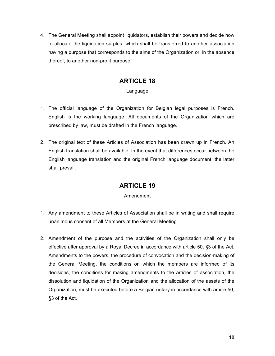4. The General Meeting shall appoint liquidators, establish their powers and decide how to allocate the liquidation surplus, which shall be transferred to another association having a purpose that corresponds to the aims of the Organization or, in the absence thereof, to another non-profit purpose.

## **ARTICLE 18**

#### Language

- 1. The official language of the Organization for Belgian legal purposes is French. English is the working language. All documents of the Organization which are prescribed by law, must be drafted in the French language.
- 2. The original text of these Articles of Association has been drawn up in French. An English translation shall be available. In the event that differences occur between the English language translation and the original French language document, the latter shall prevail.

## **ARTICLE 19**

#### Amendment

- 1. Any amendment to these Articles of Association shall be in writing and shall require unanimous consent of all Members at the General Meeting.
- 2. Amendment of the purpose and the activities of the Organization shall only be effective after approval by a Royal Decree in accordance with article 50, §3 of the Act. Amendments to the powers, the procedure of convocation and the decision-making of the General Meeting, the conditions on which the members are informed of its decisions, the conditions for making amendments to the articles of association, the dissolution and liquidation of the Organization and the allocation of the assets of the Organization, must be executed before a Belgian notary in accordance with article 50, §3 of the Act.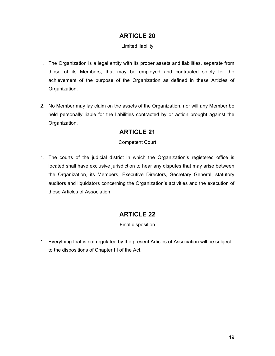#### Limited liability

- 1. The Organization is a legal entity with its proper assets and liabilities, separate from those of its Members, that may be employed and contracted solely for the achievement of the purpose of the Organization as defined in these Articles of Organization.
- 2. No Member may lay claim on the assets of the Organization, nor will any Member be held personally liable for the liabilities contracted by or action brought against the Organization.

## **ARTICLE 21**

#### Competent Court

1. The courts of the judicial district in which the Organization's registered office is located shall have exclusive jurisdiction to hear any disputes that may arise between the Organization, its Members, Executive Directors, Secretary General, statutory auditors and liquidators concerning the Organization's activities and the execution of these Articles of Association.

## **ARTICLE 22**

Final disposition

1. Everything that is not regulated by the present Articles of Association will be subject to the dispositions of Chapter III of the Act.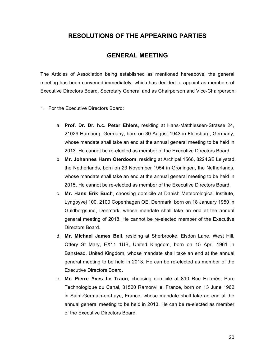#### **RESOLUTIONS OF THE APPEARING PARTIES**

#### **GENERAL MEETING**

The Articles of Association being established as mentioned hereabove, the general meeting has been convened immediately, which has decided to appoint as members of Executive Directors Board, Secretary General and as Chairperson and Vice-Chairperson:

- 1. For the Executive Directors Board:
	- a. **Prof. Dr. Dr. h.c. Peter Ehlers**, residing at Hans-Matthiessen-Strasse 24, 21029 Hamburg, Germany, born on 30 August 1943 in Flensburg, Germany, whose mandate shall take an end at the annual general meeting to be held in 2013. He cannot be re-elected as member of the Executive Directors Board.
	- b. **Mr. Johannes Harm Oterdoom**, residing at Archipel 1566, 8224GE Lelystad, the Netherlands, born on 23 November 1954 in Groningen, the Netherlands, whose mandate shall take an end at the annual general meeting to be held in 2015. He cannot be re-elected as member of the Executive Directors Board.
	- c. **Mr. Hans Erik Buch**, choosing domicile at Danish Meteorological Institute, Lyngbyvej 100, 2100 Copenhagen OE, Denmark, born on 18 January 1950 in Guldborgsund, Denmark, whose mandate shall take an end at the annual general meeting of 2018. He cannot be re-elected member of the Executive Directors Board.
	- d. **Mr. Michael James Bell**, residing at Sherbrooke, Elsdon Lane, West Hill, Ottery St Mary, EX11 1UB, United Kingdom, born on 15 April 1961 in Banstead, United Kingdom, whose mandate shall take an end at the annual general meeting to be held in 2013. He can be re-elected as member of the Executive Directors Board.
	- e. **Mr. Pierre Yves Le Traon**, choosing domicile at 810 Rue Hermès, Parc Technologique du Canal, 31520 Ramonville, France, born on 13 June 1962 in Saint-Germain-en-Laye, France, whose mandate shall take an end at the annual general meeting to be held in 2013. He can be re-elected as member of the Executive Directors Board.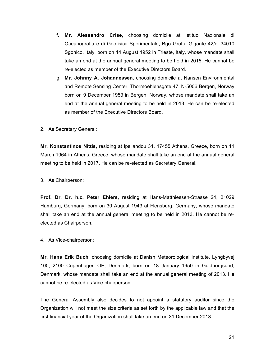- f. **Mr. Alessandro Crise**, choosing domicile at Istituo Nazionale di Oceanografia e di Geofisica Sperimentale, Bgo Grotta Gigante 42/c, 34010 Sgonico, Italy, born on 14 August 1952 in Trieste, Italy, whose mandate shall take an end at the annual general meeting to be held in 2015. He cannot be re-elected as member of the Executive Directors Board.
- g. **Mr. Johnny A. Johannessen**, choosing domicile at Nansen Environmental and Remote Sensing Center, Thormoehlensgate 47, N-5006 Bergen, Norway, born on 9 December 1953 in Bergen, Norway, whose mandate shall take an end at the annual general meeting to be held in 2013. He can be re-elected as member of the Executive Directors Board.
- 2. As Secretary General:

**Mr. Konstantinos Nittis**, residing at Ipsilandou 31, 17455 Athens, Greece, born on 11 March 1964 in Athens, Greece, whose mandate shall take an end at the annual general meeting to be held in 2017. He can be re-elected as Secretary General.

3. As Chairperson:

**Prof. Dr. Dr. h.c. Peter Ehlers**, residing at Hans-Matthiessen-Strasse 24, 21029 Hamburg, Germany, born on 30 August 1943 at Flensburg, Germany, whose mandate shall take an end at the annual general meeting to be held in 2013. He cannot be reelected as Chairperson.

4. As Vice-chairperson:

**Mr. Hans Erik Buch**, choosing domicile at Danish Meteorological Institute, Lyngbyvej 100, 2100 Copenhagen OE, Denmark, born on 18 January 1950 in Guldborgsund, Denmark, whose mandate shall take an end at the annual general meeting of 2013. He cannot be re-elected as Vice-chairperson.

The General Assembly also decides to not appoint a statutory auditor since the Organization will not meet the size criteria as set forth by the applicable law and that the first financial year of the Organization shall take an end on 31 December 2013.